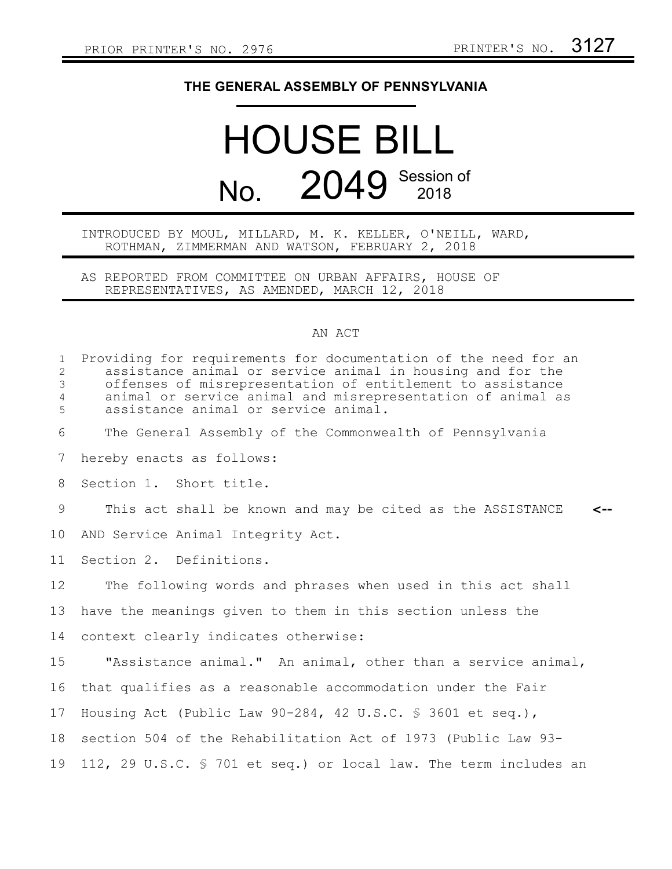## **THE GENERAL ASSEMBLY OF PENNSYLVANIA**

## HOUSE BILL No. 2049 Session of

## INTRODUCED BY MOUL, MILLARD, M. K. KELLER, O'NEILL, WARD, ROTHMAN, ZIMMERMAN AND WATSON, FEBRUARY 2, 2018

AS REPORTED FROM COMMITTEE ON URBAN AFFAIRS, HOUSE OF REPRESENTATIVES, AS AMENDED, MARCH 12, 2018

## AN ACT

| $\mathbf{1}$<br>$\overline{2}$<br>$\mathfrak{Z}$<br>$\overline{4}$<br>5 | Providing for requirements for documentation of the need for an<br>assistance animal or service animal in housing and for the<br>offenses of misrepresentation of entitlement to assistance<br>animal or service animal and misrepresentation of animal as<br>assistance animal or service animal. |
|-------------------------------------------------------------------------|----------------------------------------------------------------------------------------------------------------------------------------------------------------------------------------------------------------------------------------------------------------------------------------------------|
| 6                                                                       | The General Assembly of the Commonwealth of Pennsylvania                                                                                                                                                                                                                                           |
| 7                                                                       | hereby enacts as follows:                                                                                                                                                                                                                                                                          |
| 8                                                                       | Section 1. Short title.                                                                                                                                                                                                                                                                            |
| 9                                                                       | This act shall be known and may be cited as the ASSISTANCE<br>$\leftarrow$                                                                                                                                                                                                                         |
| 10                                                                      | AND Service Animal Integrity Act.                                                                                                                                                                                                                                                                  |
| 11                                                                      | Section 2. Definitions.                                                                                                                                                                                                                                                                            |
| $12 \overline{ }$                                                       | The following words and phrases when used in this act shall                                                                                                                                                                                                                                        |
| 13                                                                      | have the meanings given to them in this section unless the                                                                                                                                                                                                                                         |
| 14                                                                      | context clearly indicates otherwise:                                                                                                                                                                                                                                                               |
| 15                                                                      | "Assistance animal." An animal, other than a service animal,                                                                                                                                                                                                                                       |
| 16                                                                      | that qualifies as a reasonable accommodation under the Fair                                                                                                                                                                                                                                        |
| 17                                                                      | Housing Act (Public Law 90-284, 42 U.S.C. § 3601 et seq.),                                                                                                                                                                                                                                         |
| 18                                                                      | section 504 of the Rehabilitation Act of 1973 (Public Law 93-                                                                                                                                                                                                                                      |
| 19                                                                      | 112, 29 U.S.C. § 701 et seq.) or local law. The term includes an                                                                                                                                                                                                                                   |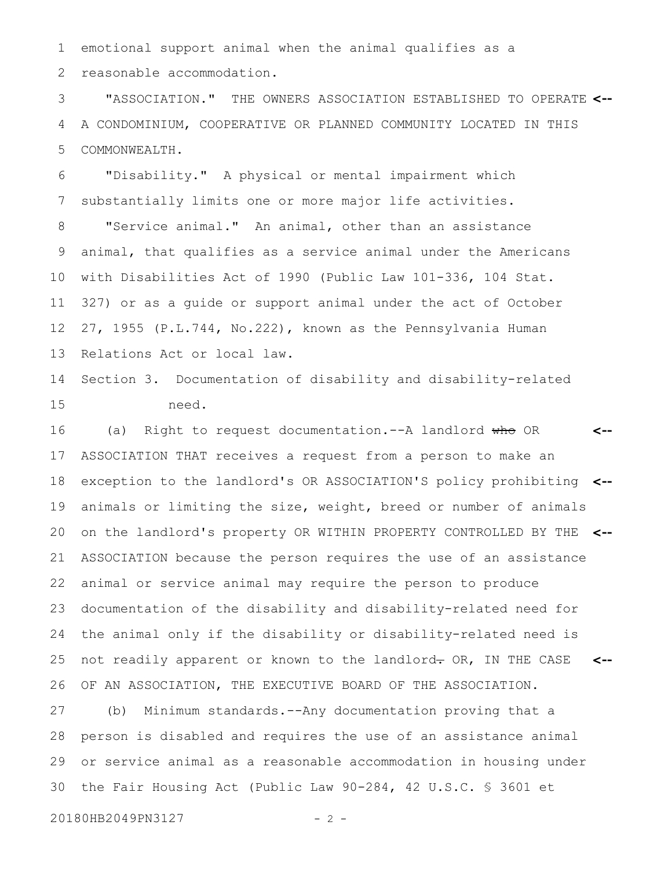emotional support animal when the animal qualifies as a reasonable accommodation. 1 2

"ASSOCIATION." THE OWNERS ASSOCIATION ESTABLISHED TO OPERATE **<--** A CONDOMINIUM, COOPERATIVE OR PLANNED COMMUNITY LOCATED IN THIS COMMONWEALTH. 3 4 5

"Disability." A physical or mental impairment which substantially limits one or more major life activities. 6 7

"Service animal." An animal, other than an assistance animal, that qualifies as a service animal under the Americans with Disabilities Act of 1990 (Public Law 101-336, 104 Stat. 327) or as a guide or support animal under the act of October 27, 1955 (P.L.744, No.222), known as the Pennsylvania Human Relations Act or local law. 8 9 10 11 12 13

Section 3. Documentation of disability and disability-related need. 14 15

(a) Right to request documentation. -- A landlord who OR ASSOCIATION THAT receives a request from a person to make an exception to the landlord's OR ASSOCIATION'S policy prohibiting **<-** animals or limiting the size, weight, breed or number of animals on the landlord's property OR WITHIN PROPERTY CONTROLLED BY THE **<--** ASSOCIATION because the person requires the use of an assistance animal or service animal may require the person to produce documentation of the disability and disability-related need for the animal only if the disability or disability-related need is not readily apparent or known to the landlord- OR, IN THE CASE OF AN ASSOCIATION, THE EXECUTIVE BOARD OF THE ASSOCIATION. **<-- <--** 16 17 18 19 20 21 22 23 24 25 26

(b) Minimum standards.--Any documentation proving that a person is disabled and requires the use of an assistance animal or service animal as a reasonable accommodation in housing under the Fair Housing Act (Public Law 90-284, 42 U.S.C. § 3601 et 27 28 29 30

20180HB2049PN3127 - 2 -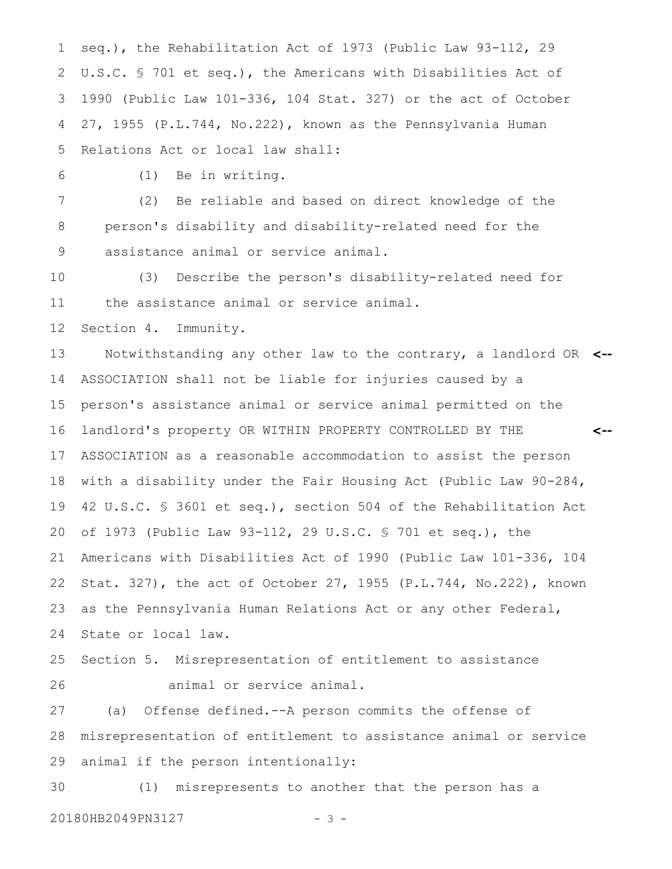seq.), the Rehabilitation Act of 1973 (Public Law 93-112, 29 U.S.C. § 701 et seq.), the Americans with Disabilities Act of 1990 (Public Law 101-336, 104 Stat. 327) or the act of October 27, 1955 (P.L.744, No.222), known as the Pennsylvania Human Relations Act or local law shall: 1 2 3 4 5

(1) Be in writing. 6

(2) Be reliable and based on direct knowledge of the person's disability and disability-related need for the assistance animal or service animal. 7 8 9

(3) Describe the person's disability-related need for the assistance animal or service animal. 10 11

Section 4. Immunity. 12

Notwithstanding any other law to the contrary, a landlord OR **<--** ASSOCIATION shall not be liable for injuries caused by a person's assistance animal or service animal permitted on the landlord's property OR WITHIN PROPERTY CONTROLLED BY THE ASSOCIATION as a reasonable accommodation to assist the person with a disability under the Fair Housing Act (Public Law 90-284, 42 U.S.C. § 3601 et seq.), section 504 of the Rehabilitation Act of 1973 (Public Law 93-112, 29 U.S.C. § 701 et seq.), the Americans with Disabilities Act of 1990 (Public Law 101-336, 104 Stat. 327), the act of October 27, 1955 (P.L.744, No.222), known as the Pennsylvania Human Relations Act or any other Federal, State or local law. **<--** 13 14 15 16 17 18 19 20 21 22 23 24

Section 5. Misrepresentation of entitlement to assistance animal or service animal. 25 26

(a) Offense defined.--A person commits the offense of misrepresentation of entitlement to assistance animal or service animal if the person intentionally: 27 28 29

(1) misrepresents to another that the person has a 20180HB2049PN3127 - 3 -30